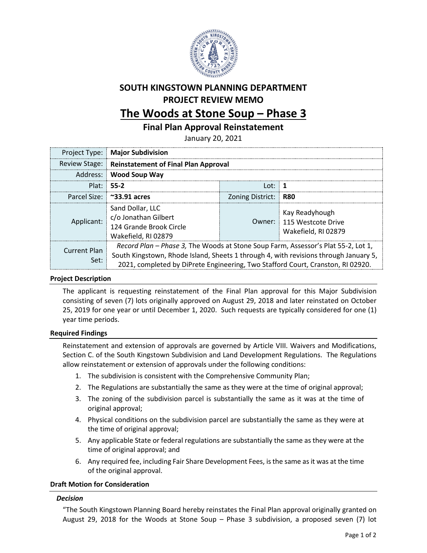

# **SOUTH KINGSTOWN PLANNING DEPARTMENT PROJECT REVIEW MEMO The Woods at Stone Soup – Phase 3**

**Final Plan Approval Reinstatement**

January 20, 2021

|                             | <b>Project Type:   Major Subdivision</b>                                                                                                                                                                                                                     |                      |                                                                    |
|-----------------------------|--------------------------------------------------------------------------------------------------------------------------------------------------------------------------------------------------------------------------------------------------------------|----------------------|--------------------------------------------------------------------|
|                             | Review Stage: Reinstatement of Final Plan Approval                                                                                                                                                                                                           |                      |                                                                    |
|                             | Address: Wood Soup Way                                                                                                                                                                                                                                       |                      |                                                                    |
|                             | $Plat: 55-2$                                                                                                                                                                                                                                                 | ∣∩t'                 |                                                                    |
|                             | Parcel Size: $\approx$ 33.91 acres                                                                                                                                                                                                                           | Zoning District: R80 |                                                                    |
| Applicant:                  | Sand Dollar, LLC<br>c/o Jonathan Gilbert<br>124 Grande Brook Circle<br>Wakefield, RI 02879                                                                                                                                                                   |                      | Kay Readyhough<br>Owner: 115 Westcote Drive<br>Wakefield, RI 02879 |
| <b>Current Plan</b><br>Set: | Record Plan - Phase 3, The Woods at Stone Soup Farm, Assessor's Plat 55-2, Lot 1,<br>South Kingstown, Rhode Island, Sheets 1 through 4, with revisions through January 5,<br>2021, completed by DiPrete Engineering, Two Stafford Court, Cranston, RI 02920. |                      |                                                                    |

#### **Project Description**

The applicant is requesting reinstatement of the Final Plan approval for this Major Subdivision consisting of seven (7) lots originally approved on August 29, 2018 and later reinstated on October 25, 2019 for one year or until December 1, 2020. Such requests are typically considered for one (1) year time periods.

#### **Required Findings**

Reinstatement and extension of approvals are governed by Article VIII. Waivers and Modifications, Section C. of the South Kingstown Subdivision and Land Development Regulations. The Regulations allow reinstatement or extension of approvals under the following conditions:

- 1. The subdivision is consistent with the Comprehensive Community Plan;
- 2. The Regulations are substantially the same as they were at the time of original approval;
- 3. The zoning of the subdivision parcel is substantially the same as it was at the time of original approval;
- 4. Physical conditions on the subdivision parcel are substantially the same as they were at the time of original approval;
- 5. Any applicable State or federal regulations are substantially the same as they were at the time of original approval; and
- 6. Any required fee, including Fair Share Development Fees, is the same as it was at the time of the original approval.

#### **Draft Motion for Consideration**

#### *Decision*

"The South Kingstown Planning Board hereby reinstates the Final Plan approval originally granted on August 29, 2018 for the Woods at Stone Soup – Phase 3 subdivision, a proposed seven (7) lot